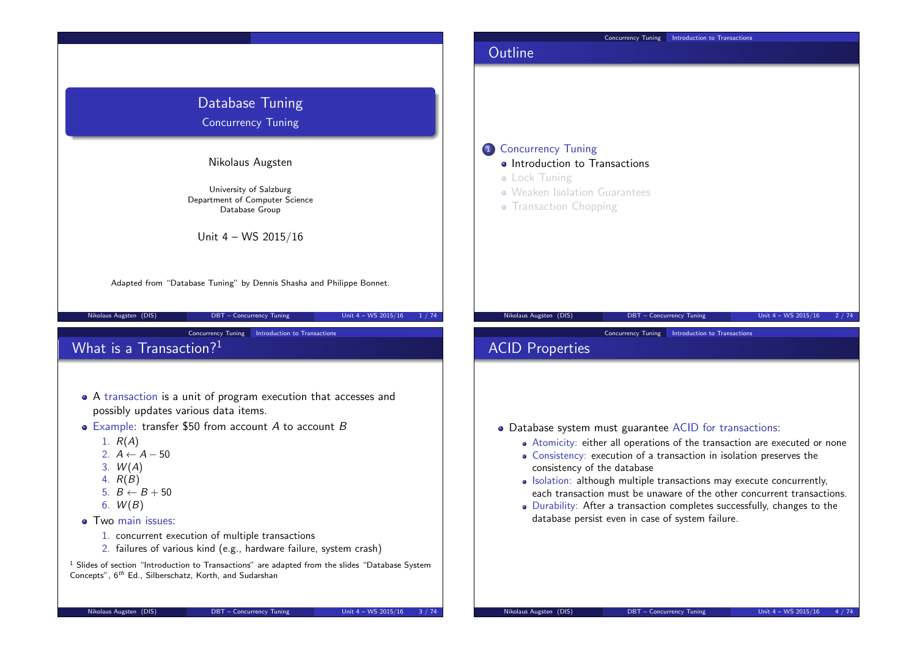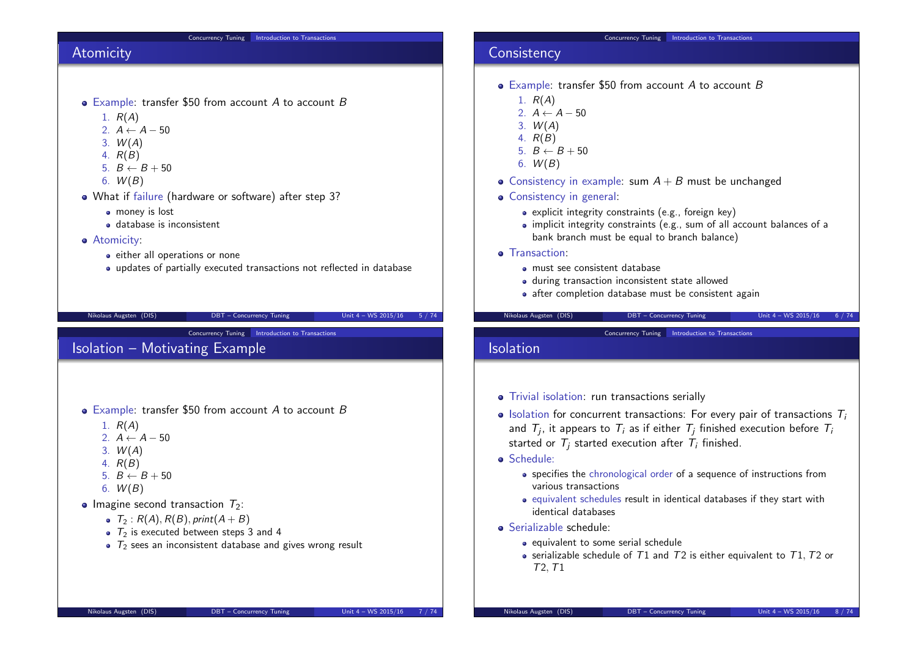#### Concurrency Tuning Introduction to Transactions Atomicity • Example: transfer \$50 from account A to account B 1.  $R(A)$ 2.  $A \leftarrow A - 50$  $3. W(A)$ 4. R(B) 5.  $B \leftarrow B + 50$ 6.  $W(B)$ What if failure (hardware or software) after step 3? **o** money is lost database is inconsistent **•** Atomicity: • either all operations or none updates of partially executed transactions not reflected in database Nikolaus Augsten (DIS) DBT – Concurrency Tuning Unit 4 – WS 2015/16 5 / 74 Concurrency Tuning Introduction to Transactions **Consistency** • Example: transfer \$50 from account A to account B 1.  $R(A)$ 2.  $A \leftarrow A - 50$ 3.  $W(A)$ 4. R(B) 5.  $B \leftarrow B + 50$ 6.  $W(B)$ • Consistency in example: sum  $A + B$  must be unchanged • Consistency in general: • explicit integrity constraints (e.g., foreign key)  $\bullet$  implicit integrity constraints (e.g., sum of all account balances of a bank branch must be equal to branch balance) **o** Transaction: must see consistent database during transaction inconsistent state allowed • after completion database must be consistent again Nikolaus Augsten (DIS) DBT – Concurrency Tuning Unit 4 – WS 2015/16 6 / 74 **Concurrency Tuning Introduction to Transactions** Isolation – Motivating Example  $\bullet$  Example: transfer \$50 from account A to account B 1.  $R(A)$ 2.  $A \leftarrow A - 50$ 3.  $W(A)$ 4. R(B) 5.  $B \leftarrow B + 50$ 6.  $W(B)$ • Imagine second transaction  $T_2$ :  $\bullet$   $\tau_2$  :  $R(A), R(B),$  print $(A + B)$  $\bullet$   $\overline{T_2}$  is executed between steps 3 and 4  $\bullet$   $\tau_2$  sees an inconsistent database and gives wrong result Concurrency Tuning Introduction to Transactions Isolation • Trivial isolation: run transactions serially  $\bullet$  Isolation for concurrent transactions: For every pair of transactions  $T_i$ and  $\mathcal{T}_j$ , it appears to  $\mathcal{T}_i$  as if either  $\mathcal{T}_j$  finished execution before  $\mathcal{T}_i$ started or  $T_i$  started execution after  $T_i$  finished. Schedule: specifies the chronological order of a sequence of instructions from various transactions equivalent schedules result in identical databases if they start with identical databases Serializable schedule:  $\bullet$  equivalent to some serial schedule • serializable schedule of  $T1$  and  $T2$  is either equivalent to  $T1$ ,  $T2$  or T2,T1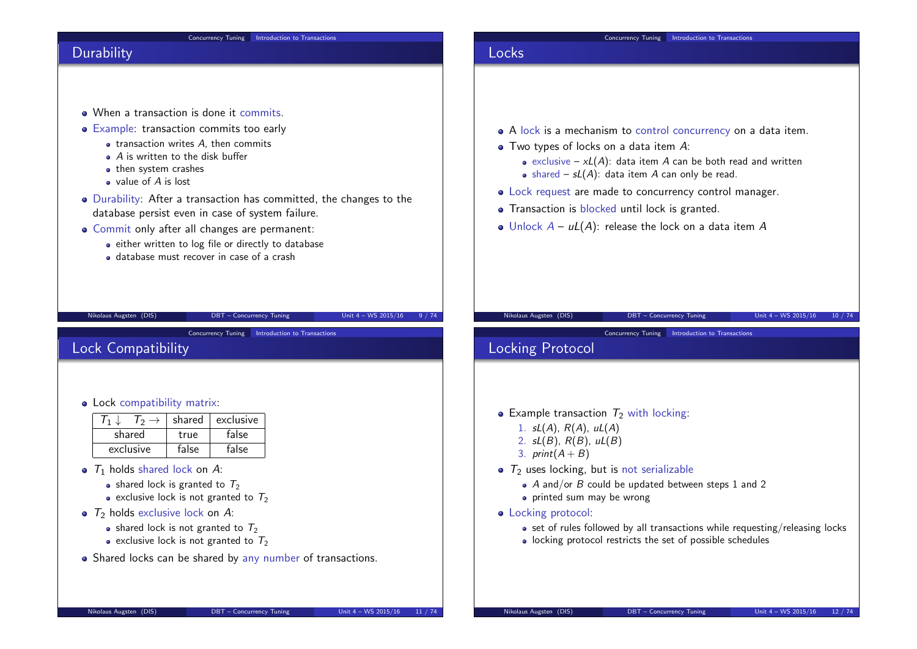#### Concurrency Tuning Introduction to Transactions **Durability** . When a transaction is done it commits. • Example: transaction commits too early  $\bullet$  transaction writes  $A$ , then commits • A is written to the disk buffer • then system crashes value of A is lost Durability: After a transaction has committed, the changes to the database persist even in case of system failure. Commit only after all changes are permanent: • either written to log file or directly to database database must recover in case of a crash Nikolaus Augsten (DIS) DBT – Concurrency Tuning Unit 4 – WS 2015/16 9 / 74 Concurrency Tuning Introduction to Transactions Locks A lock is a mechanism to control concurrency on a data item. • Two types of locks on a data item A: • exclusive –  $xL(A)$ : data item A can be both read and written • shared –  $sL(A)$ : data item A can only be read. Lock request are made to concurrency control manager. **•** Transaction is blocked until lock is granted. • Unlock  $A - uL(A)$ : release the lock on a data item A Nikolaus Augsten (DIS) DBT – Concurrency Tuning Unit 4 – WS 2015/16 10 / 74 Concurrency Tuning Introduction to Transactions Lock Compatibility • Lock compatibility matrix:  $T_1 \downarrow \quad T_2 \rightarrow$  shared exclusive<br>shared true false shared  $\Box$  true  $exclusive$   $false$   $false$  false  $\bullet$   $\tau_1$  holds shared lock on A: • shared lock is granted to  $T_2$ • exclusive lock is not granted to  $T_2$  $\bullet$  T<sub>2</sub> holds exclusive lock on A: • shared lock is not granted to  $T_2$ • exclusive lock is not granted to  $T_2$ • Shared locks can be shared by any number of transactions. Nikolaus Augsten (DIS) DBT – Concurrency Tuning Unit 4 – WS 2015/16 11 / 74 Concurrency Tuning Introduction to Transactions Locking Protocol • Example transaction  $T_2$  with locking: 1.  $sL(A)$ ,  $R(A)$ ,  $uL(A)$ 2.  $sL(B)$ ,  $R(B)$ ,  $uL(B)$ 3.  $print(A + B)$  $\bullet$   $\tau_2$  uses locking, but is not serializable  $\bullet$  A and/or B could be updated between steps 1 and 2 • printed sum may be wrong • Locking protocol:  $\bullet$  set of rules followed by all transactions while requesting/releasing locks • locking protocol restricts the set of possible schedules Nikolaus Augsten (DIS) DBT – Concurrency Tuning Unit 4 – WS 2015/16 12 / 74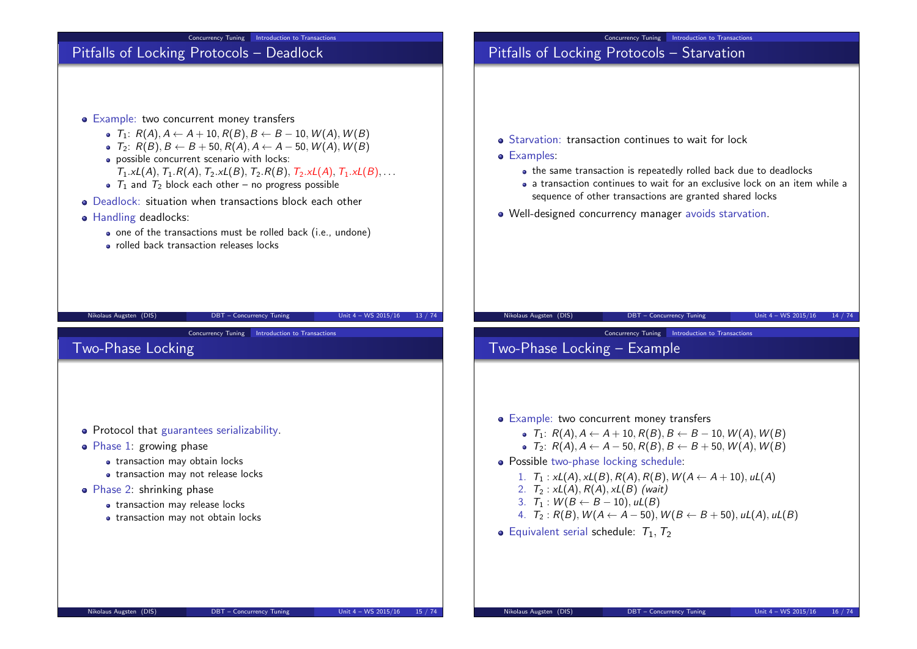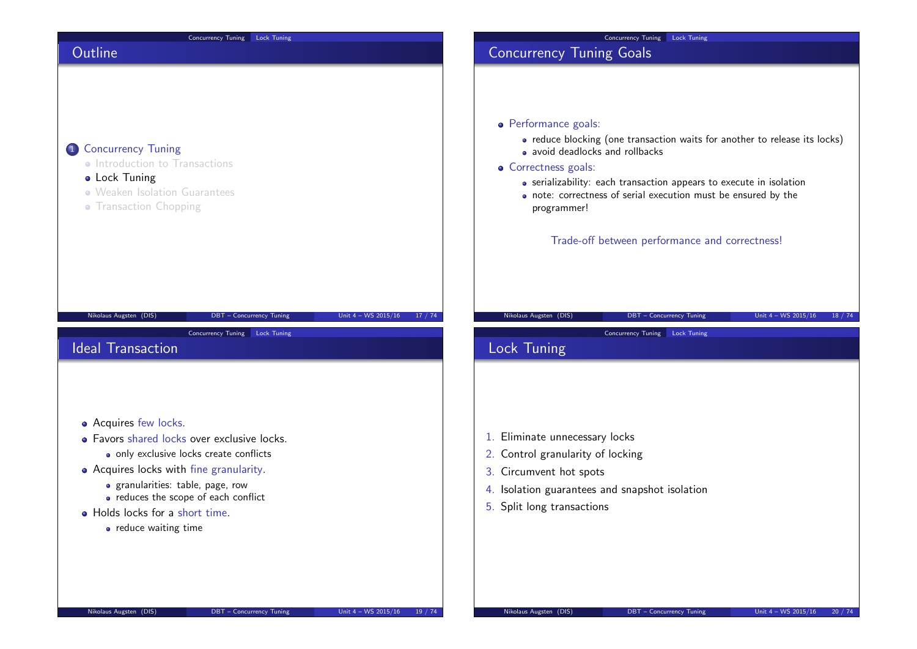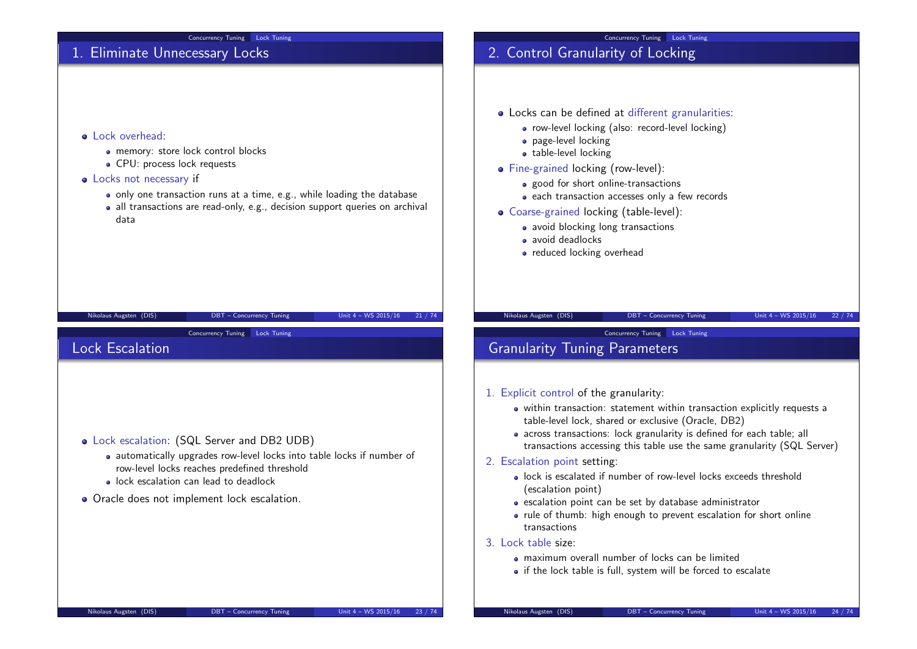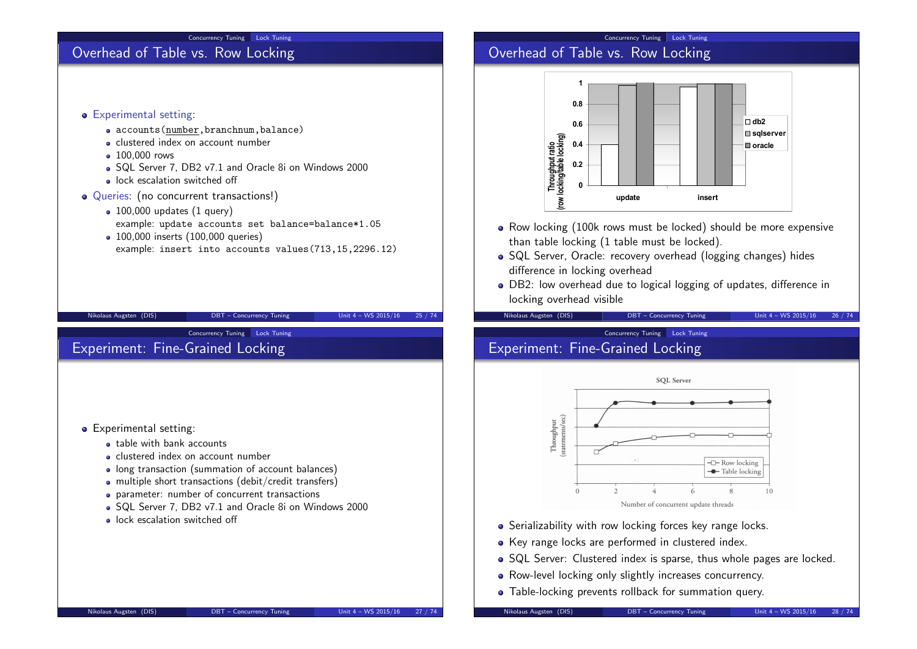#### Concurrency Tuning Lock Tuning

# Overhead of Table vs. Row Locking

## **•** Experimental setting:

- accounts(number,branchnum,balance)
- **e** clustered index on account number
- 100,000 rows
- SQL Server 7, DB2 v7.1 and Oracle 8i on Windows 2000
- **a** lock escalation switched off
- Queries: (no concurrent transactions!)
	- $\bullet$  100,000 updates (1 query) example: update accounts set balance=balance\*1.05

Concurrency Tuning Lock Tuning

• 100,000 inserts (100,000 queries) example: insert into accounts values(713,15,2296.12)

Nikolaus Augsten (DIS) DBT – Concurrency Tuning Unit 4 – WS 2015/16 25 / 74

## **•** Experimental setting:

- **a** table with bank accounts
- clustered index on account number

Experiment: Fine-Grained Locking

- long transaction (summation of account balances)
- multiple short transactions (debit/credit transfers)
- parameter: number of concurrent transactions
- SQL Server 7, DB2 v7.1 and Oracle 8i on Windows 2000
- lock escalation switched off

## Concurrency Tuning Lock Tuning

## Overhead of Table vs. Row Locking



- Row locking (100k rows must be locked) should be more expensive than table locking (1 table must be locked).
- SQL Server, Oracle: recovery overhead (logging changes) hides difference in locking overhead
- DB2: low overhead due to logical logging of updates, difference in locking overhead visible

Nikolaus Augsten (DIS) DBT – Concurrency Tuning Unit 4 – WS 2015/16 26 / 74

# Concurrency Tuning Lock Tuning

# Experiment: Fine-Grained Locking



- Serializability with row locking forces key range locks.
- Key range locks are performed in clustered index.
- SQL Server: Clustered index is sparse, thus whole pages are locked.
- Row-level locking only slightly increases concurrency.
- Table-locking prevents rollback for summation query.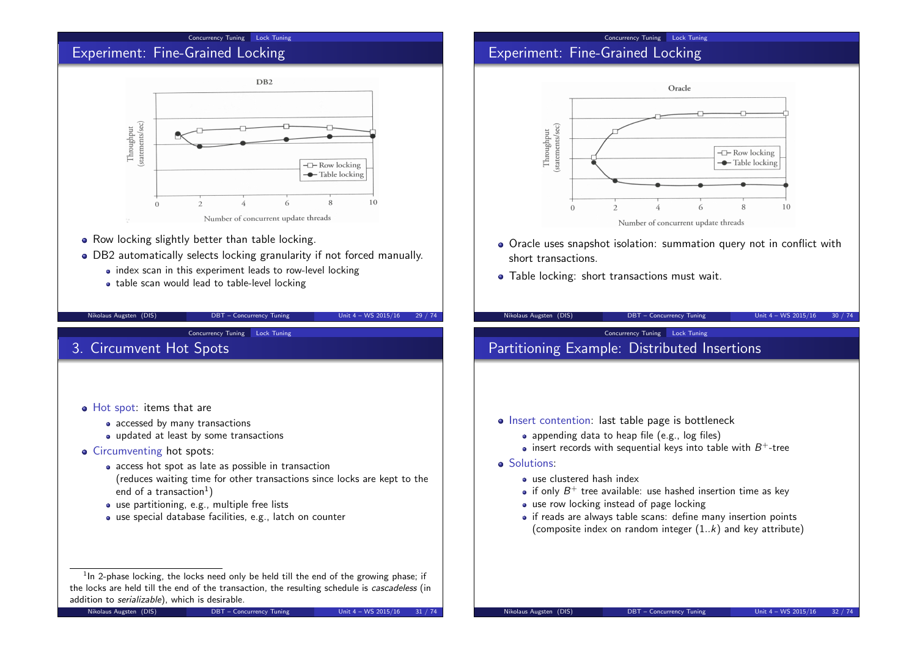#### Concurrency Tuning Lock Tuning

## Experiment: Fine-Grained Locking



- Row locking slightly better than table locking.
- DB2 automatically selects locking granularity if not forced manually.
	- index scan in this experiment leads to row-level locking
	- table scan would lead to table-level locking

## Concurrency Tuning Lock Tuning Experiment: Fine-Grained Locking



- Oracle uses snapshot isolation: summation query not in conflict with short transactions.
- Table locking: short transactions must wait.

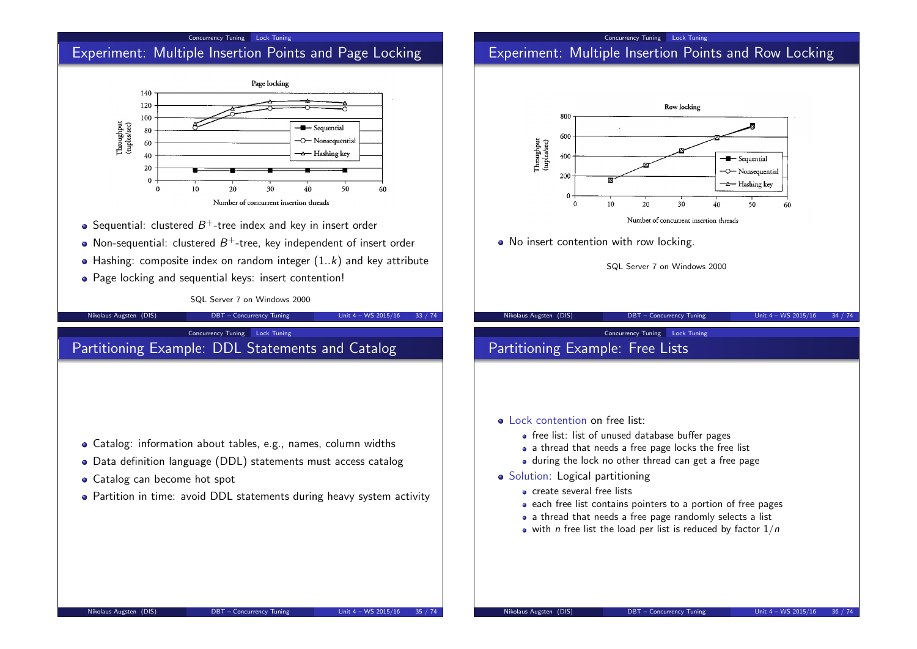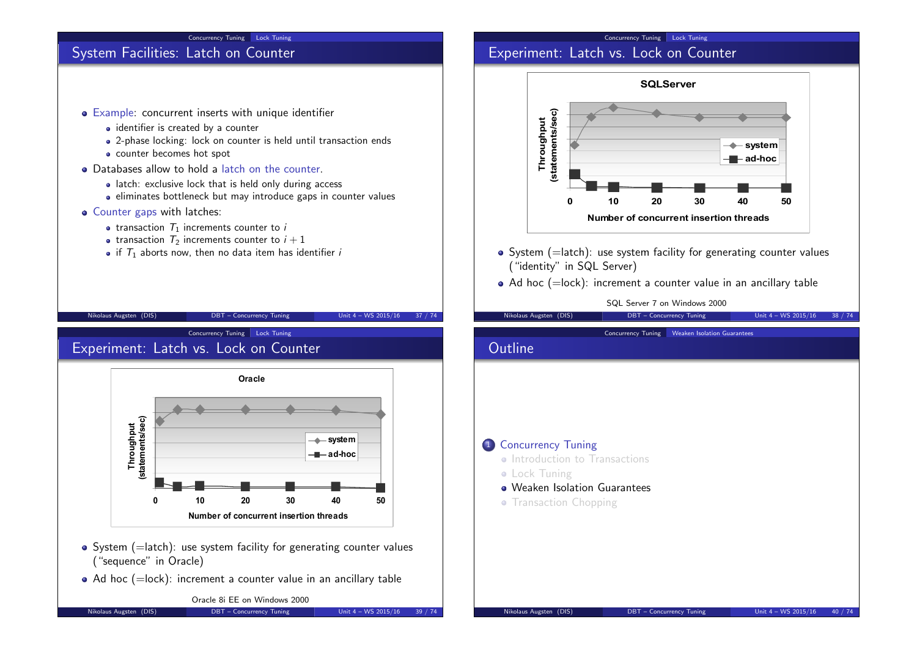#### Concurrency Tuning Lock Tuning

## System Facilities: Latch on Counter

- Example: concurrent inserts with unique identifier
	- identifier is created by a counter
	- 2-phase locking: lock on counter is held until transaction ends
	- counter becomes hot spot
- Databases allow to hold a latch on the counter.
	- latch: exclusive lock that is held only during access
	- eliminates bottleneck but may introduce gaps in counter values
- Counter gaps with latches:
	- transaction  $T_1$  increments counter to i
	- transaction  $T_2$  increments counter to  $i + 1$
	- if  $T_1$  aborts now, then no data item has identifier i

## Concurrency Tuning Lock Tuning Experiment: Latch vs. Lock on Counter



- $\bullet$  System (=latch): use system facility for generating counter values ("identity" in SQL Server)
- $\bullet$  Ad hoc (=lock): increment a counter value in an ancillary table

SQL Server 7 on Windows 2000

## Nikolaus Augsten (DIS) DBT – Concurrency Tuning Unit 4 – WS 2015/16 37 / 74 Nikolaus Augsten (DIS) **DBT** – Concurrency Tuning Unit 4 – WS 2015/16 38 / 74 Concurrency Tuning Lock Tuning Experiment: Latch vs. Lock on Counter **Oracle 0 10 20 30 40 50 Number of concurrent insertion threads system ad-hoc**  $\bullet$  System (=latch): use system facility for generating counter values ("sequence" in Oracle)  $\bullet$  Ad hoc (=lock): increment a counter value in an ancillary table Oracle 8i EE on Windows 2000 Nikolaus Augsten (DIS) DBT – Concurrency Tuning Unit 4 – WS 2015/16 39 / 74 Concurrency Tuning Weaken Isolation Guarantees **Outline** 1 Concurrency Tuning • Introduction to Transactions **• Lock Tuning** Weaken Isolation Guarantees • Transaction Chopping Nikolaus Augsten (DIS) DBT – Concurrency Tuning Unit 4 – WS 2015/16 40 / 74

**Throughput (statements/sec)**

Throughput<br>(statements/sec)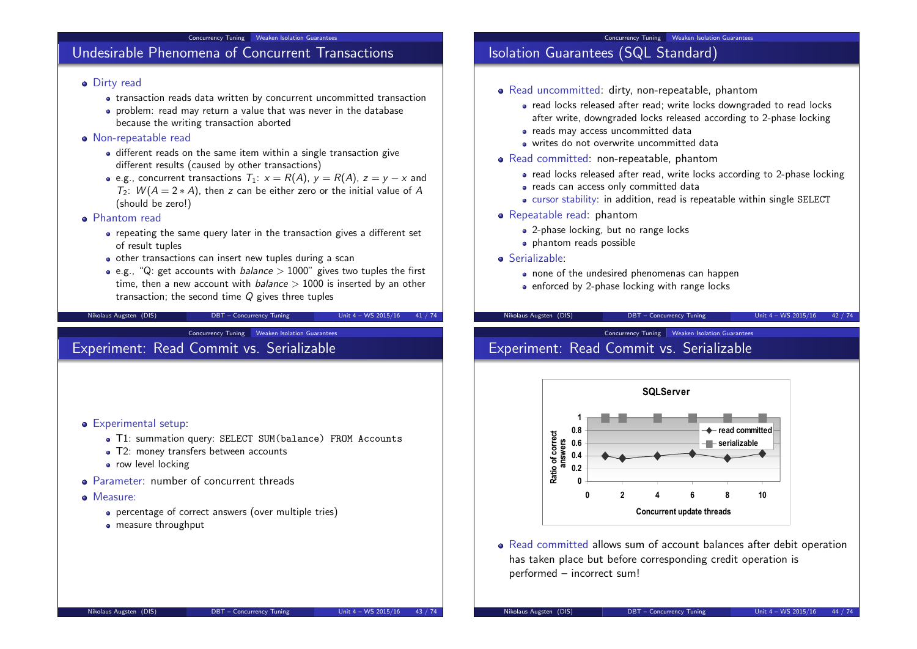#### Concurrency Tuning Weaken Isolation Guarantees

## Undesirable Phenomena of Concurrent Transactions

### **·** Dirty read

- transaction reads data written by concurrent uncommitted transaction
- problem: read may return a value that was never in the database because the writing transaction aborted

#### Non-repeatable read

- different reads on the same item within a single transaction give different results (caused by other transactions)
- e.g., concurrent transactions  $T_1: x = R(A), y = R(A), z = y x$  and  $T_2$ :  $W(A = 2*A)$ , then z can be either zero or the initial value of A (should be zero!)

#### Phantom read

- repeating the same query later in the transaction gives a different set of result tuples
- other transactions can insert new tuples during a scan
- e.g., "Q: get accounts with *balance*  $> 1000$ " gives two tuples the first time, then a new account with  $b$ alance  $> 1000$  is inserted by an other transaction; the second time  $Q$  gives three tuples

Nikolaus Augsten (DIS) DBT – Concurrency Tuning Unit 4 – WS 2015/16 41 / 74

Concurrency Tuning Weaken Isolation Guarantees

## Experiment: Read Commit vs. Serializable

- **•** Experimental setup:
	- T1: summation query: SELECT SUM(balance) FROM Accounts
	- T2: money transfers between accounts
	- **•** row level locking
- Parameter: number of concurrent threads
- Measure:
	- percentage of correct answers (over multiple tries)
	- measure throughput

# Isolation Guarantees (SQL Standard)

- Read uncommitted: dirty, non-repeatable, phantom
	- read locks released after read; write locks downgraded to read locks after write, downgraded locks released according to 2-phase locking

Concurrency Tuning Weaken Isolation Guarantees

- reads may access uncommitted data
- writes do not overwrite uncommitted data
- Read committed: non-repeatable, phantom
	- read locks released after read, write locks according to 2-phase locking
	- reads can access only committed data
	- cursor stability: in addition, read is repeatable within single SELECT
- Repeatable read: phantom
	- 2-phase locking, but no range locks
	- phantom reads possible
- Serializable:
	- none of the undesired phenomenas can happen
	- enforced by 2-phase locking with range locks

Nikolaus Augsten (DIS) DBT – Concurrency Tuning Unit 4 – WS 2015/16 42 / 74

#### Concurrency Tuning Weaken Isolation Guarantees

# Experiment: Read Commit vs. Serializable



Read committed allows sum of account balances after debit operation has taken place but before corresponding credit operation is performed – incorrect sum!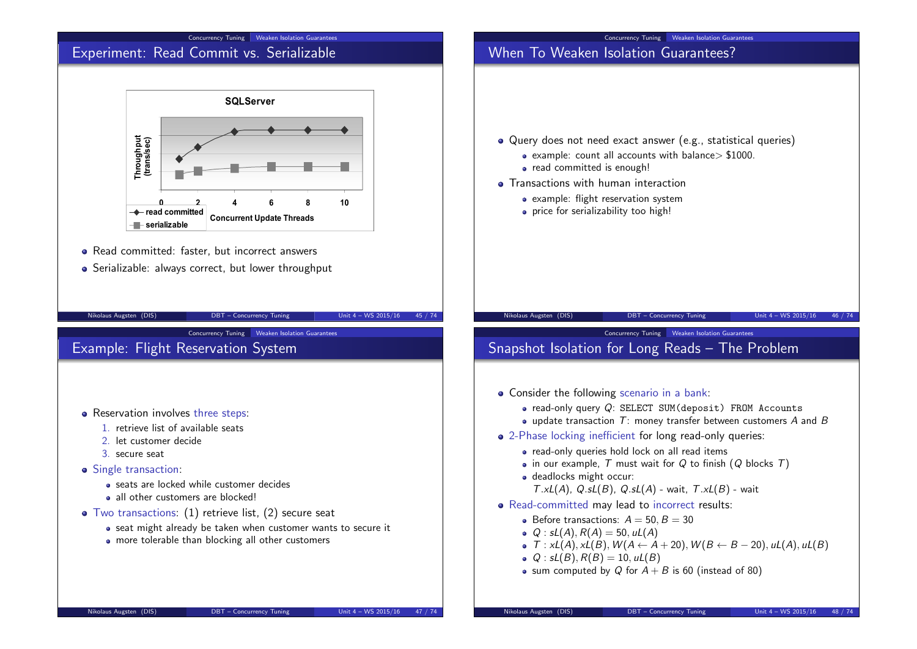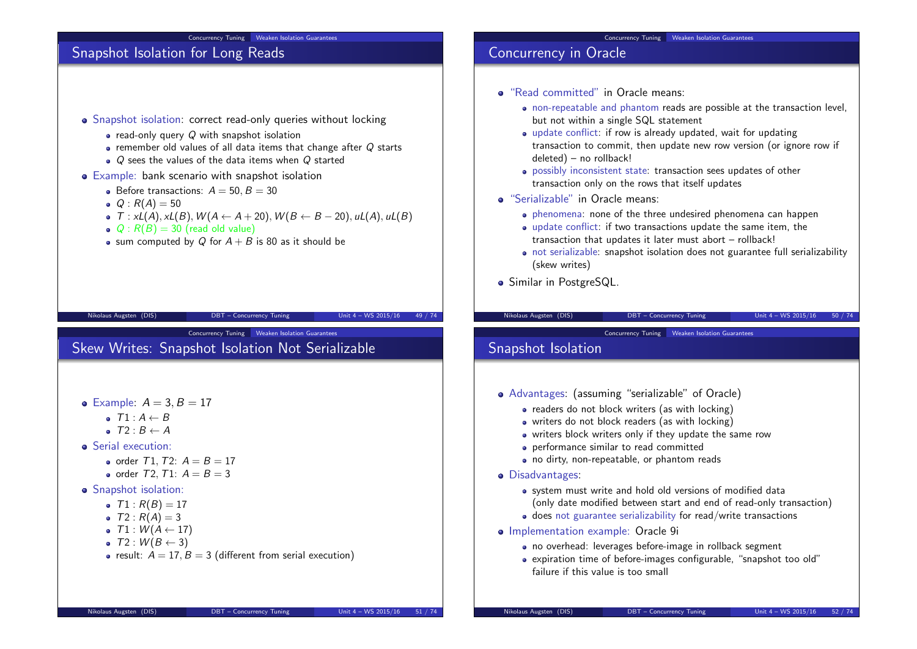#### Concurrency Tuning Weaken Isolation Guarantees

## Snapshot Isolation for Long Reads

- Snapshot isolation: correct read-only queries without locking
	- read-only query Q with snapshot isolation
	- $\bullet$  remember old values of all data items that change after  $Q$  starts
	- $\bullet$  Q sees the values of the data items when Q started
- Example: bank scenario with snapshot isolation
	- $\bullet$  Before transactions:  $A = 50, B = 30$
	- $Q : R(A) = 50$
	- $\bullet$  T : xL(A), xL(B),  $W(A \leftarrow A + 20)$ ,  $W(B \leftarrow B 20)$ , uL(A), uL(B)

Nikolaus Augsten (DIS) DBT – Concurrency Tuning Unit 4 – WS 2015/16 49 / 74

Concurrency Tuning Weaken Isolation Guarantees

- $Q: R(B) = 30$  (read old value)
- sum computed by Q for  $A + B$  is 80 as it should be

Skew Writes: Snapshot Isolation Not Serializable

Concurrency Tuning Weaken Isolation Guarantees

## Concurrency in Oracle

- "Read committed" in Oracle means:
	- non-repeatable and phantom reads are possible at the transaction level, but not within a single SQL statement
	- update conflict: if row is already updated, wait for updating transaction to commit, then update new row version (or ignore row if deleted) – no rollback!
	- possibly inconsistent state: transaction sees updates of other transaction only on the rows that itself updates
- "Serializable" in Oracle means:
	- phenomena: none of the three undesired phenomena can happen
	- update conflict: if two transactions update the same item, the transaction that updates it later must abort – rollback!
	- not serializable: snapshot isolation does not guarantee full serializability (skew writes)
- **•** Similar in PostgreSQL.

#### Nikolaus Augsten (DIS) DBT – Concurrency Tuning Unit 4 – WS 2015/16 50 / 74

Concurrency Tuning Weaken Isolation Guarantees

## Snapshot Isolation

- Advantages: (assuming "serializable" of Oracle)
	- readers do not block writers (as with locking)
	- writers do not block readers (as with locking)
	- writers block writers only if they update the same row
	- performance similar to read committed
	- no dirty, non-repeatable, or phantom reads
- Disadvantages:
	- system must write and hold old versions of modified data (only date modified between start and end of read-only transaction)
	- does not guarantee serializability for read/write transactions
- Implementation example: Oracle 9i
	- no overhead: leverages before-image in rollback segment
	- expiration time of before-images configurable, "snapshot too old" failure if this value is too small

| • Example: $A = 3, B = 17$ |  |  |  |
|----------------------------|--|--|--|
|----------------------------|--|--|--|

- $\bullet$   $T1: A \leftarrow B$
- $\bullet$   $T2 \cdot B \leftarrow A$
- **•** Serial execution:
	- order  $T1, T2$ :  $A = B = 17$
	- order  $T2$ ,  $T1: A = B = 3$
- **•** Snapshot isolation:
	- $T1: R(B) = 17$
	- $T2 : R(A) = 3$
	- $\bullet$  T1 :  $W(A \leftarrow 17)$
	- $\bullet$  T2 :  $W(B \leftarrow 3)$
	- result:  $A = 17$ ,  $B = 3$  (different from serial execution)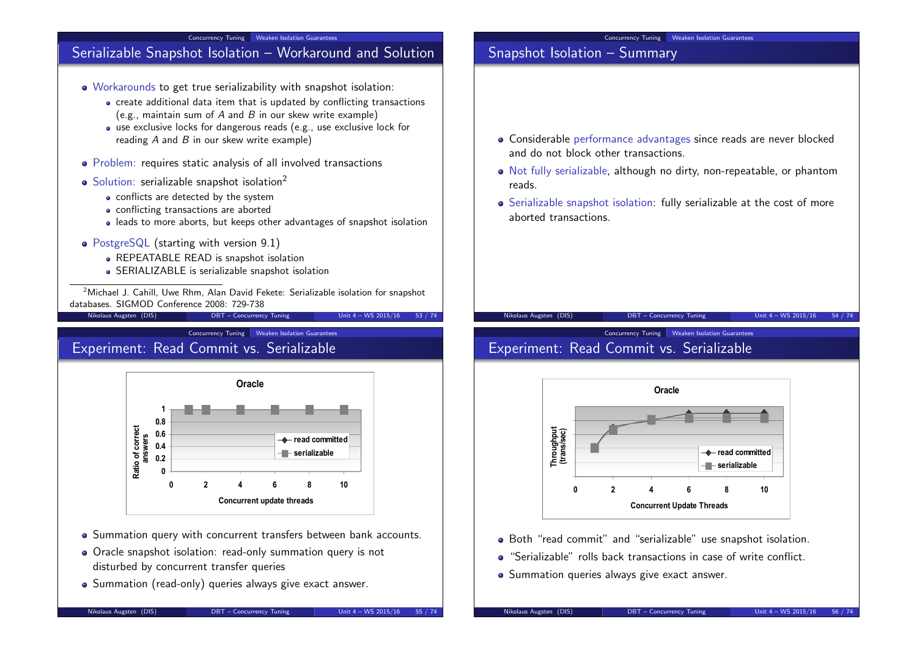

Concurrency Tuning Weaken Isolation Guarantees

## Experiment: Read Commit vs. Serializable



- Summation query with concurrent transfers between bank accounts.
- Oracle snapshot isolation: read-only summation query is not disturbed by concurrent transfer queries
- Summation (read-only) queries always give exact answer.

**Throughput (trans/sec)**

Both "read commit" and "serializable" use snapshot isolation. "Serializable" rolls back transactions in case of write conflict.

• Summation queries always give exact answer.

**Oracle**

**0 2 4 6 8 10 Concurrent Update Threads**

**read committed serializable**

Experiment: Read Commit vs. Serializable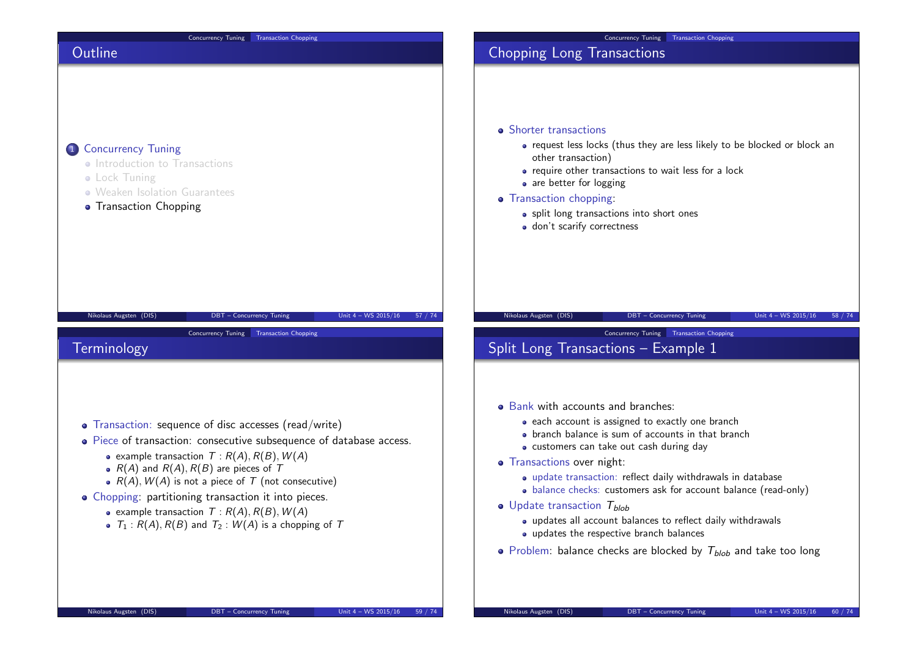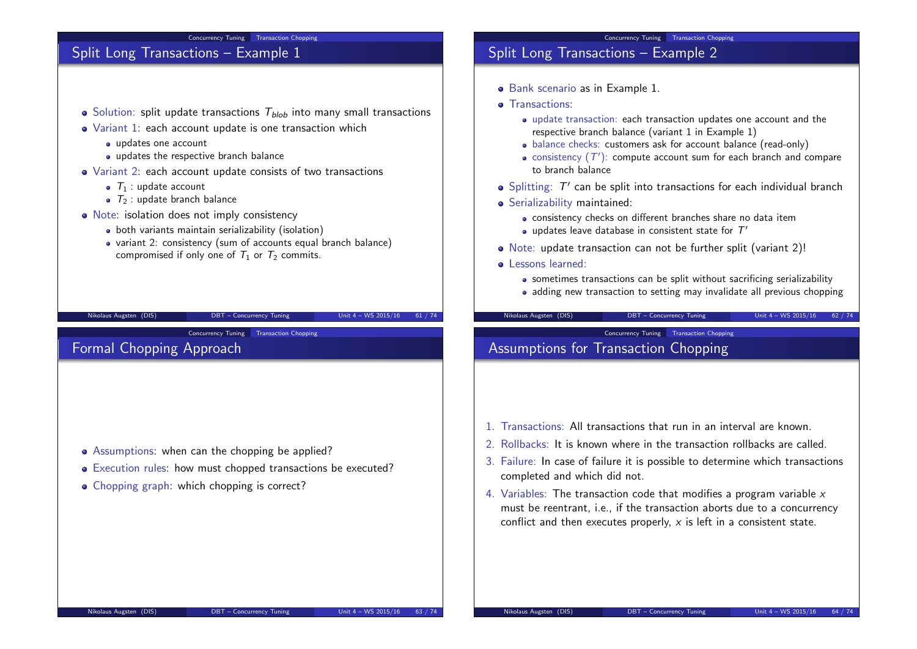## Concurrency Tuning Transaction Chopping Split Long Transactions – Example 1  $\bullet$  Solution: split update transactions  $T_{blob}$  into many small transactions Variant 1: each account update is one transaction which updates one account • updates the respective branch balance Variant 2: each account update consists of two transactions  $\bullet$   $T_1$  : update account  $\bullet$   $\tau_2$ : update branch balance • Note: isolation does not imply consistency • both variants maintain serializability (isolation) variant 2: consistency (sum of accounts equal branch balance) compromised if only one of  $T_1$  or  $T_2$  commits. Nikolaus Augsten (DIS) DBT – Concurrency Tuning Unit 4 – WS 2015/16 61 / 74 Concurrency Tuning Transaction Chopping Split Long Transactions – Example 2 Bank scenario as in Example 1. **o** Transactions: update transaction: each transaction updates one account and the respective branch balance (variant 1 in Example 1) • balance checks: customers ask for account balance (read-only) consistency  $(\mathcal{T}')$ : compute account sum for each branch and compare to branch balance Splitting:  $\mathcal{T}'$  can be split into transactions for each individual branch Serializability maintained: consistency checks on different branches share no data item updates leave database in consistent state for  $\mathcal{T}'$ Note: update transaction can not be further split (variant 2)! **o** Lessons learned: • sometimes transactions can be split without sacrificing serializability • adding new transaction to setting may invalidate all previous chopping Nikolaus Augsten (DIS) DBT – Concurrency Tuning Unit 4 – WS 2015/16 62 / 74 Concurrency Tuning Transaction Chopping Formal Chopping Approach • Assumptions: when can the chopping be applied? Execution rules: how must chopped transactions be executed? • Chopping graph: which chopping is correct? **Concurrency Tuning Transaction Chopping** Assumptions for Transaction Chopping 1. Transactions: All transactions that run in an interval are known. 2. Rollbacks: It is known where in the transaction rollbacks are called. 3. Failure: In case of failure it is possible to determine which transactions completed and which did not. 4. Variables: The transaction code that modifies a program variable  $x$ must be reentrant, i.e., if the transaction aborts due to a concurrency conflict and then executes properly,  $x$  is left in a consistent state.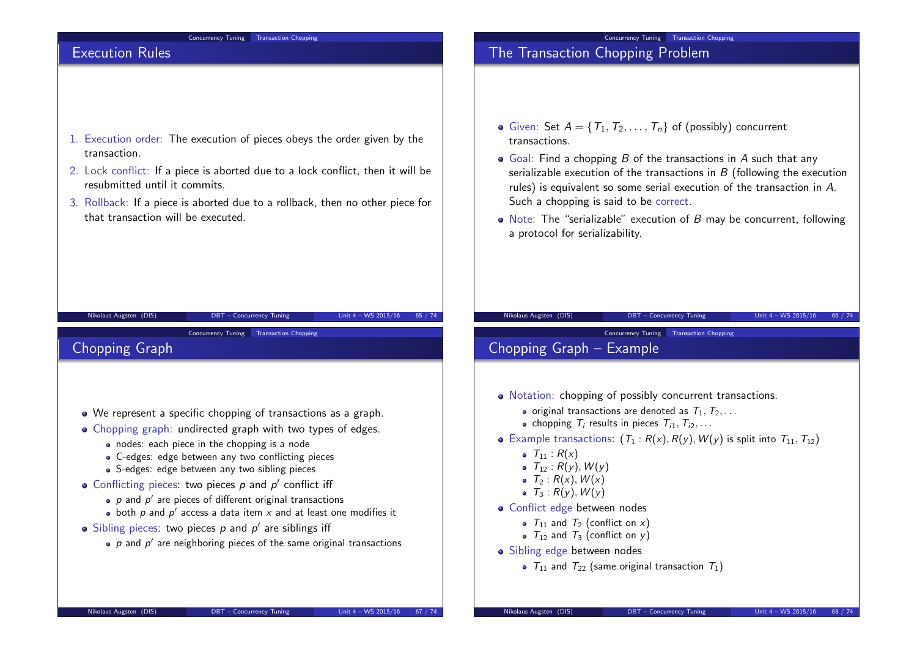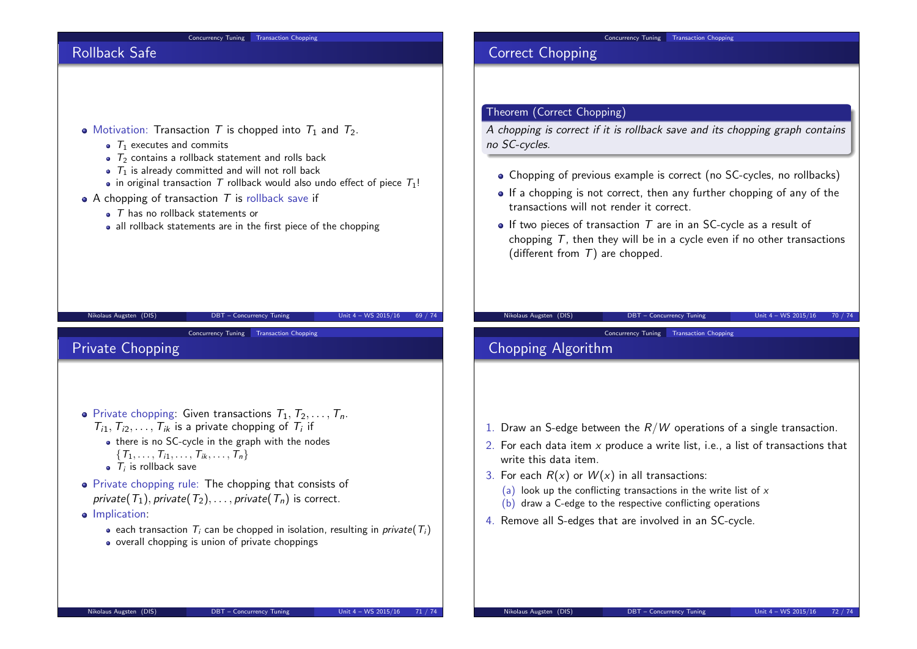

#### Concurrency Tuning Transaction Chopping

## Rollback Safe



- $\bullet$   $\tau_1$  executes and commits
- $\bullet$   $\tau_2$  contains a rollback statement and rolls back
- $\bullet$   $T_1$  is already committed and will not roll back
- in original transaction T rollback would also undo effect of piece  $T_1!$

Nikolaus Augsten (DIS) DBT – Concurrency Tuning Unit 4 – WS 2015/16 69 / 74

- A chopping of transaction  $T$  is rollback save if
	- $\bullet$   $\top$  has no rollback statements or
	- all rollback statements are in the first piece of the chopping



## Private Chopping

- Private chopping: Given transactions  $T_1, T_2, \ldots, T_n$ .  $T_{i1}, T_{i2}, \ldots, T_{ik}$  is a private chopping of  $T_i$  if
	- there is no SC-cycle in the graph with the nodes  $\{T_1, \ldots, T_{i1}, \ldots, T_{ik}, \ldots, T_n\}$
	- $T_i$  is rollback save
- Private chopping rule: The chopping that consists of private( $T_1$ ), private( $T_2$ ), ..., private( $T_n$ ) is correct.
- **·** Implication:
	- **e** each transaction  $T_i$  can be chopped in isolation, resulting in *private*( $T_i$ )
	- overall chopping is union of private choppings

Correct Chopping

## Theorem (Correct Chopping)

A chopping is correct if it is rollback save and its chopping graph contains no SC-cycles.

- Chopping of previous example is correct (no SC-cycles, no rollbacks)
- If a chopping is not correct, then any further chopping of any of the transactions will not render it correct.
- $\bullet$  If two pieces of transaction T are in an SC-cycle as a result of chopping  $T$ , then they will be in a cycle even if no other transactions (different from  $T$ ) are chopped.

Nikolaus Augsten (DIS) DBT – Concurrency Tuning Unit 4 – WS 2015/16 70 / 74

#### Concurrency Tuning Transaction Chopping

# Chopping Algorithm

- 1. Draw an S-edge between the  $R/W$  operations of a single transaction.
- 2. For each data item  $x$  produce a write list, i.e., a list of transactions that write this data item.
- 3. For each  $R(x)$  or  $W(x)$  in all transactions:
	- (a) look up the conflicting transactions in the write list of  $x$
	- (b) draw a C-edge to the respective conflicting operations
- 4. Remove all S-edges that are involved in an SC-cycle.